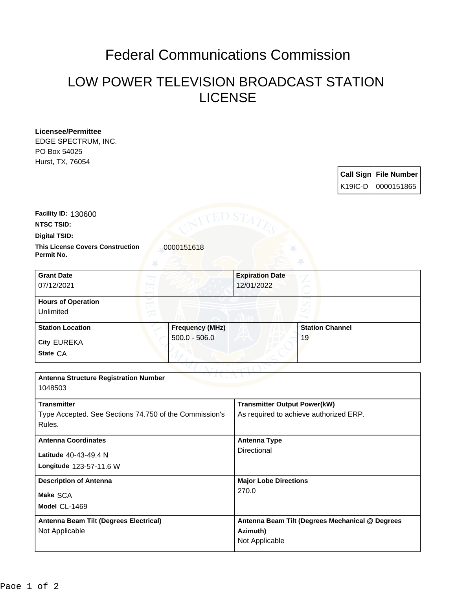## Federal Communications Commission

## LOW POWER TELEVISION BROADCAST STATION LICENSE

| <b>Licensee/Permittee</b> |
|---------------------------|
| EDGE SPECTRUM, INC.       |
| PO Box 54025              |
| Hurst, TX, 76054          |

|  | Call Sign File Number |
|--|-----------------------|
|  | K19IC-D 0000151865    |

**NTSC TSID: Facility ID:** 130600

**Digital TSID:**

**Permit No.**

**This License Covers Construction 10000151618** 

| <b>Grant Date</b><br>07/12/2021        |                        | <b>Expiration Date</b><br>12/01/2022 |                        |
|----------------------------------------|------------------------|--------------------------------------|------------------------|
| <b>Hours of Operation</b><br>Unlimited |                        |                                      |                        |
| <b>Station Location</b>                | <b>Frequency (MHz)</b> |                                      | <b>Station Channel</b> |
| <b>City EUREKA</b>                     | $500.0 - 506.0$        | 19                                   |                        |
| State CA                               |                        |                                      |                        |

| <b>Antenna Structure Registration Number</b><br>1048503                                |                                                                               |  |  |  |  |
|----------------------------------------------------------------------------------------|-------------------------------------------------------------------------------|--|--|--|--|
| <b>Transmitter</b><br>Type Accepted. See Sections 74.750 of the Commission's<br>Rules. | <b>Transmitter Output Power(kW)</b><br>As required to achieve authorized ERP. |  |  |  |  |
| <b>Antenna Coordinates</b>                                                             | <b>Antenna Type</b>                                                           |  |  |  |  |
| Latitude 40-43-49.4 N<br>Longitude 123-57-11.6 W                                       | Directional                                                                   |  |  |  |  |
| <b>Description of Antenna</b>                                                          | <b>Major Lobe Directions</b>                                                  |  |  |  |  |
| Make SCA<br>Model CL-1469                                                              | 270.0                                                                         |  |  |  |  |
| Antenna Beam Tilt (Degrees Electrical)<br>Not Applicable                               | Antenna Beam Tilt (Degrees Mechanical @ Degrees<br>Azimuth)<br>Not Applicable |  |  |  |  |